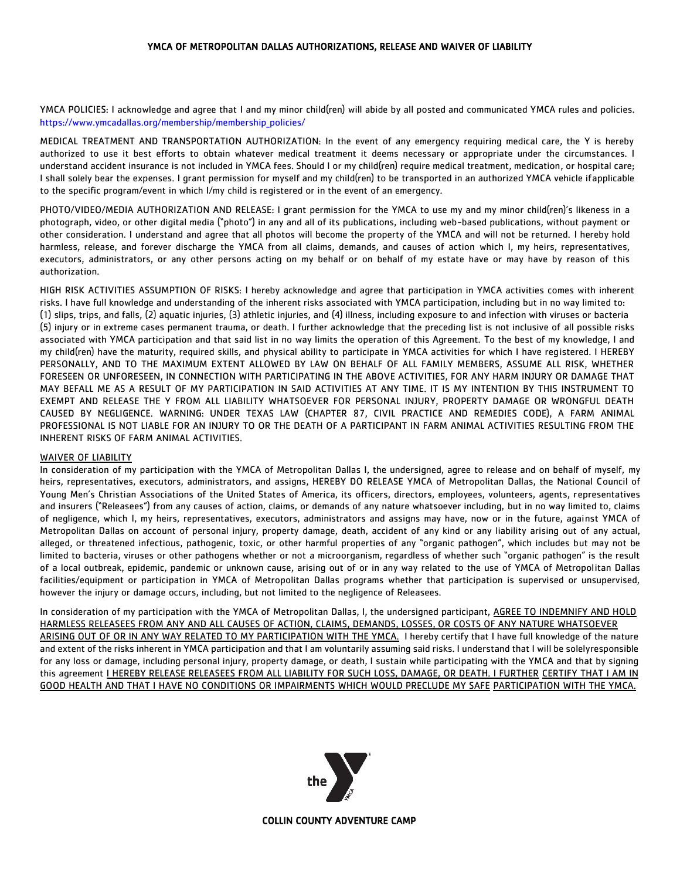## YMCA OF METROPOLITAN DALLAS AUTHORIZATIONS, RELEASE AND WAIVER OF LIABILITY

YMCA POLICIES: I acknowledge and agree that I and my minor child(ren) will abide by all posted and communicated YMCA rules and policies. [https://www.ymcadallas.org/membership/membership\\_policies/](https://www.ymcadallas.org/membership/membership_policies/)

MEDICAL TREATMENT AND TRANSPORTATION AUTHORIZATION: In the event of any emergency requiring medical care, the Y is hereby authorized to use it best efforts to obtain whatever medical treatment it deems necessary or appropriate under the circumstances. I understand accident insurance is not included in YMCA fees. Should I or my child(ren) require medical treatment, medication, or hospital care; I shall solely bear the expenses. I grant permission for myself and my child(ren) to be transported in an authorized YMCA vehicle ifapplicable to the specific program/event in which I/my child is registered or in the event of an emergency.

PHOTO/VIDEO/MEDIA AUTHORIZATION AND RELEASE: I grant permission for the YMCA to use my and my minor child(ren)'s likeness in a photograph, video, or other digital media ("photo") in any and all of its publications, including web-based publications, without payment or other consideration. I understand and agree that all photos will become the property of the YMCA and will not be returned. I hereby hold harmless, release, and forever discharge the YMCA from all claims, demands, and causes of action which I, my heirs, representatives, executors, administrators, or any other persons acting on my behalf or on behalf of my estate have or may have by reason of this authorization.

HIGH RISK ACTIVITIES ASSUMPTION OF RISKS: I hereby acknowledge and agree that participation in YMCA activities comes with inherent risks. I have full knowledge and understanding of the inherent risks associated with YMCA participation, including but in no way limited to: (1) slips, trips, and falls, (2) aquatic injuries, (3) athletic injuries, and (4) illness, including exposure to and infection with viruses or bacteria (5) injury or in extreme cases permanent trauma, or death. I further acknowledge that the preceding list is not inclusive of all possible risks associated with YMCA participation and that said list in no way limits the operation of this Agreement. To the best of my knowledge, I and my child(ren) have the maturity, required skills, and physical ability to participate in YMCA activities for which I have registered. I HEREBY PERSONALLY, AND TO THE MAXIMUM EXTENT ALLOWED BY LAW ON BEHALF OF ALL FAMILY MEMBERS, ASSUME ALL RISK, WHETHER FORESEEN OR UNFORESEEN, IN CONNECTION WITH PARTICIPATING IN THE ABOVE ACTIVITIES, FOR ANY HARM INJURY OR DAMAGE THAT MAY BEFALL ME AS A RESULT OF MY PARTICIPATION IN SAID ACTIVITIES AT ANY TIME. IT IS MY INTENTION BY THIS INSTRUMENT TO EXEMPT AND RELEASE THE Y FROM ALL LIABILITY WHATSOEVER FOR PERSONAL INJURY, PROPERTY DAMAGE OR WRONGFUL DEATH CAUSED BY NEGLIGENCE. WARNING: UNDER TEXAS LAW (CHAPTER 87, CIVIL PRACTICE AND REMEDIES CODE), A FARM ANIMAL PROFESSIONAL IS NOT LIABLE FOR AN INJURY TO OR THE DEATH OF A PARTICIPANT IN FARM ANIMAL ACTIVITIES RESULTING FROM THE INHERENT RISKS OF FARM ANIMAL ACTIVITIES.

## WAIVER OF LIABILITY

In consideration of my participation with the YMCA of Metropolitan Dallas I, the undersigned, agree to release and on behalf of myself, my heirs, representatives, executors, administrators, and assigns, HEREBY DO RELEASE YMCA of Metropolitan Dallas, the National Council of Young Men's Christian Associations of the United States of America, its officers, directors, employees, volunteers, agents, representatives and insurers ("Releasees") from any causes of action, claims, or demands of any nature whatsoever including, but in no way limited to, claims of negligence, which I, my heirs, representatives, executors, administrators and assigns may have, now or in the future, against YMCA of Metropolitan Dallas on account of personal injury, property damage, death, accident of any kind or any liability arising out of any actual, alleged, or threatened infectious, pathogenic, toxic, or other harmful properties of any "organic pathogen", which includes but may not be limited to bacteria, viruses or other pathogens whether or not a microorganism, regardless of whether such "organic pathogen" is the result of a local outbreak, epidemic, pandemic or unknown cause, arising out of or in any way related to the use of YMCA of Metropolitan Dallas facilities/equipment or participation in YMCA of Metropolitan Dallas programs whether that participation is supervised or unsupervised, however the injury or damage occurs, including, but not limited to the negligence of Releasees.

In consideration of my participation with the YMCA of Metropolitan Dallas, I, the undersigned participant, AGREE TO INDEMNIFY AND HOLD HARMLESS RELEASEES FROM ANY AND ALL CAUSES OF ACTION, CLAIMS, DEMANDS, LOSSES, OR COSTS OF ANY NATURE WHATSOEVER ARISING OUT OF OR IN ANY WAY RELATED TO MY PARTICIPATION WITH THE YMCA. I hereby certify that I have full knowledge of the nature and extent of the risks inherent in YMCA participation and that I am voluntarily assuming said risks. I understand that I will be solelyresponsible for any loss or damage, including personal injury, property damage, or death, I sustain while participating with the YMCA and that by signing this agreement **I HEREBY RELEASE RELEASEES FROM ALL LIABILITY FOR SUCH LOSS, DAMAGE, OR DEATH. I FURTHER CERTIFY THAT I AM IN** GOOD HEALTH AND THAT I HAVE NO CONDITIONS OR IMPAIRMENTS WHICH WOULD PRECLUDE MY SAFE PARTICIPATION WITH THE YMCA.



COLLIN COUNTY ADVENTURE CAMP